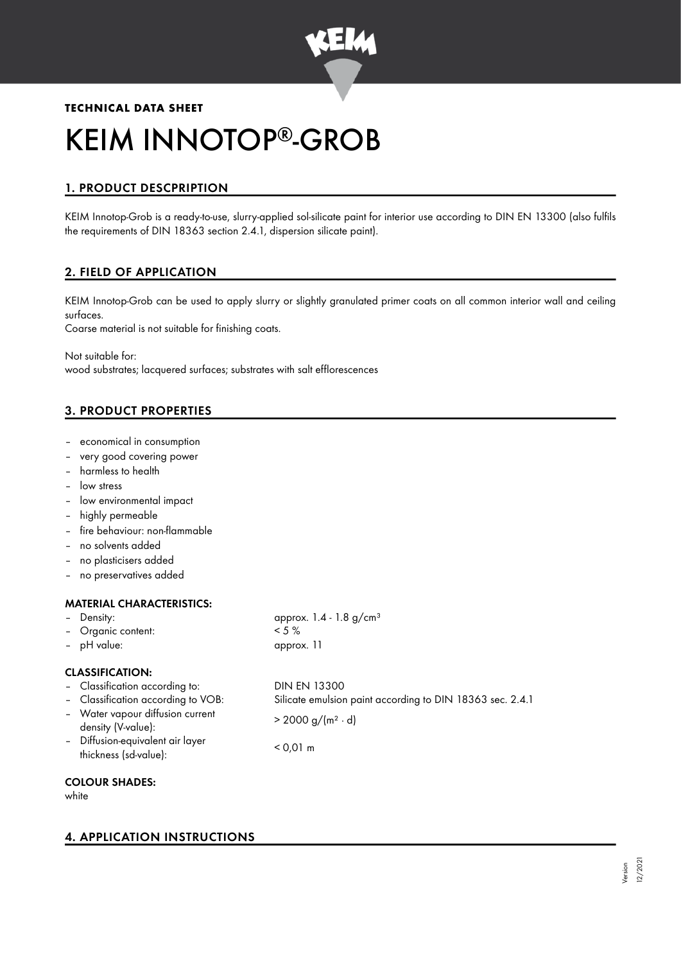

# **TECHNICAL DATA SHEET** KEIM INNOTOP®-GROB

# 1. PRODUCT DESCPRIPTION

KEIM Innotop-Grob is a ready-to-use, slurry-applied sol-silicate paint for interior use according to DIN EN 13300 (also fulfils the requirements of DIN 18363 section 2.4.1, dispersion silicate paint).

# 2. FIELD OF APPLICATION

KEIM Innotop-Grob can be used to apply slurry or slightly granulated primer coats on all common interior wall and ceiling surfaces.

Coarse material is not suitable for finishing coats.

Not suitable for: wood substrates; lacquered surfaces; substrates with salt efflorescences

# 3. PRODUCT PROPERTIES

- economical in consumption
- very good covering power
- harmless to health
- low stress
- low environmental impact
- highly permeable
- fire behaviour: non-flammable
- no solvents added
- no plasticisers added
- no preservatives added

# MATERIAL CHARACTERISTICS:

- Density: approx. 1.4 1.8 g/cm<sup>3</sup>
- Organic content: < 5 %
- pH value: approx. 11

# CLASSIFICATION:

- Classification according to: DIN EN 13300
- 
- Water vapour diffusion current  $\frac{d}{dx}$  > 2000 g/(m<sup>2</sup> · d)<br>density (V-value):
- Diffusion-equivalent air layer thickness (sd-value): < 0,01 m
- 
- Classification according to VOB: Silicate emulsion paint according to DIN 18363 sec. 2.4.1

- COLOUR SHADES:
- white

# 4. APPLICATION INSTRUCTIONS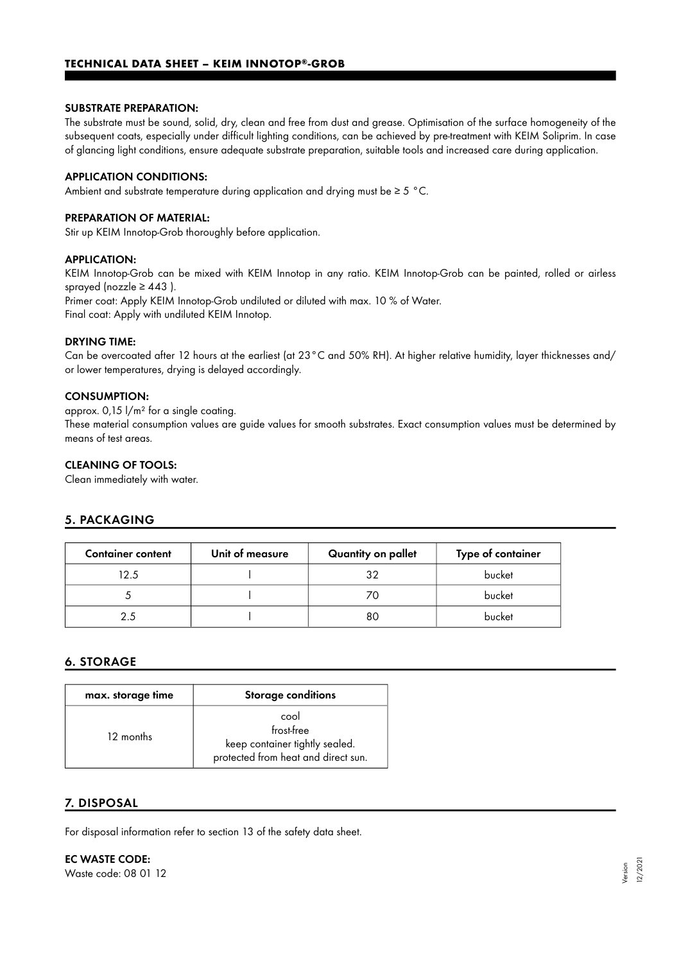## **TECHNICAL DATA SHEET – KEIM INNOTOP®-GROB**

#### SUBSTRATE PREPARATION:

The substrate must be sound, solid, dry, clean and free from dust and grease. Optimisation of the surface homogeneity of the subsequent coats, especially under difficult lighting conditions, can be achieved by pre-treatment with KEIM Soliprim. In case of glancing light conditions, ensure adequate substrate preparation, suitable tools and increased care during application.

#### APPLICATION CONDITIONS:

Ambient and substrate temperature during application and drying must be ≥ 5 °C.

#### PREPARATION OF MATERIAL:

Stir up KEIM Innotop-Grob thoroughly before application.

#### APPLICATION:

KEIM Innotop-Grob can be mixed with KEIM Innotop in any ratio. KEIM Innotop-Grob can be painted, rolled or airless sprayed (nozzle  $\geq 443$  ). Primer coat: Apply KEIM Innotop-Grob undiluted or diluted with max. 10 % of Water.

Final coat: Apply with undiluted KEIM Innotop.

#### DRYING TIME:

Can be overcoated after 12 hours at the earliest (at 23°C and 50% RH). At higher relative humidity, layer thicknesses and/ or lower temperatures, drying is delayed accordingly.

## CONSUMPTION:

approx. 0,15 l/m² for a single coating.

These material consumption values are guide values for smooth substrates. Exact consumption values must be determined by means of test areas.

## CLEANING OF TOOLS:

Clean immediately with water.

# 5. PACKAGING

| <b>Container content</b> | Unit of measure | Quantity on pallet | Type of container |
|--------------------------|-----------------|--------------------|-------------------|
| 12.5                     |                 | 32                 | bucket            |
|                          |                 |                    | bucket            |
| 25                       |                 | 80                 | bucket            |

# 6. STORAGE

| max. storage time | <b>Storage conditions</b>                                                                   |
|-------------------|---------------------------------------------------------------------------------------------|
| 12 months         | cool<br>frost-free<br>keep container tightly sealed.<br>protected from heat and direct sun. |

### 7. DISPOSAL

For disposal information refer to section 13 of the safety data sheet.

EC WASTE CODE: Waste code: 08 01 12